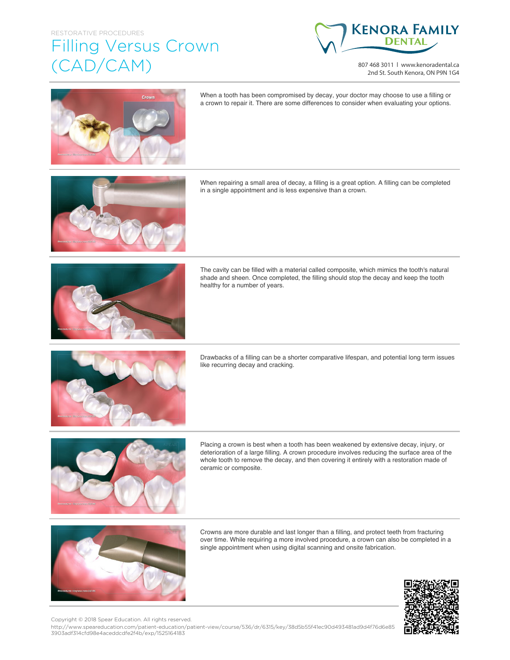## RESTORATIVE PROCEDURES

## Filling Versus Crown (CAD/CAM)



807 468 3011 | www.kenoradental.ca 2nd St. South Kenora, ON P9N 1G4



When a tooth has been compromised by decay, your doctor may choose to use a filling or a crown to repair it. There are some differences to consider when evaluating your options.

When repairing a small area of decay, a filling is a great option. A filling can be completed in a single appointment and is less expensive than a crown.



The cavity can be filled with a material called composite, which mimics the tooth's natural shade and sheen. Once completed, the filling should stop the decay and keep the tooth healthy for a number of years.



Drawbacks of a filling can be a shorter comparative lifespan, and potential long term issues like recurring decay and cracking.



Placing a crown is best when a tooth has been weakened by extensive decay, injury, or deterioration of a large filling. A crown procedure involves reducing the surface area of the whole tooth to remove the decay, and then covering it entirely with a restoration made of ceramic or composite.



Crowns are more durable and last longer than a filling, and protect teeth from fracturing over time. While requiring a more involved procedure, a crown can also be completed in a single appointment when using digital scanning and onsite fabrication.



Copyright © 2018 Spear Education. All rights reserved.

http://www.speareducation.com/patient-education/patient-view/course/536/dr/6315/key/38d5b55f41ec90d493481ad9d4f76d6e85 3903adf314cfd98e4aceddcdfe2f4b/exp/1525164183